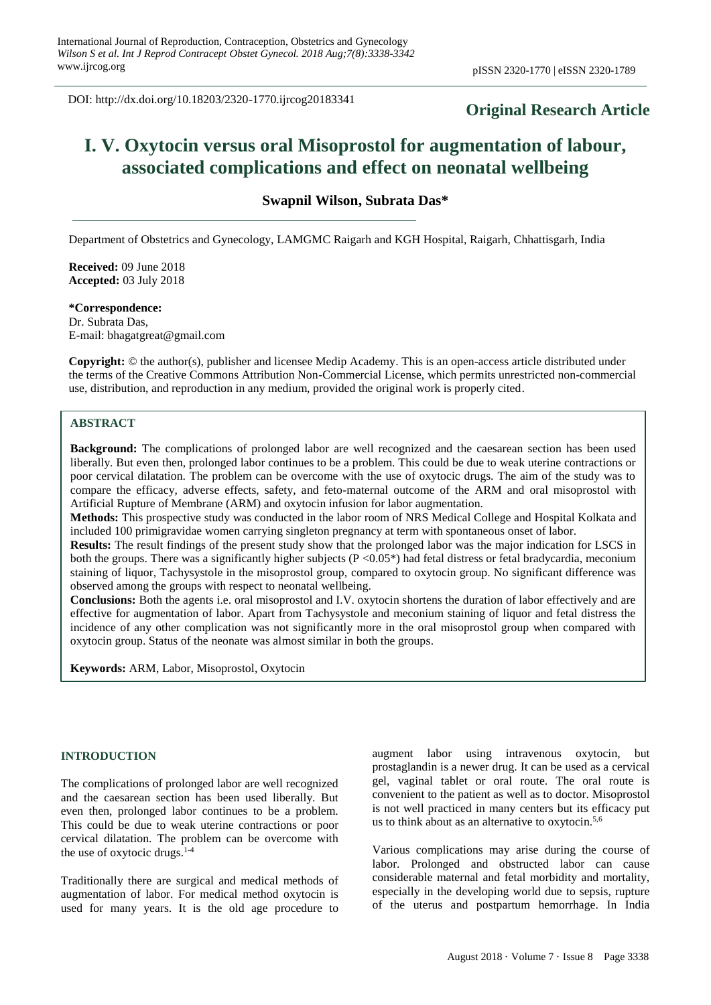DOI: http://dx.doi.org/10.18203/2320-1770.ijrcog20183341

# **Original Research Article**

# **I. V. Oxytocin versus oral Misoprostol for augmentation of labour, associated complications and effect on neonatal wellbeing**

**Swapnil Wilson, Subrata Das\***

Department of Obstetrics and Gynecology, LAMGMC Raigarh and KGH Hospital, Raigarh, Chhattisgarh, India

**Received:** 09 June 2018 **Accepted:** 03 July 2018

**\*Correspondence:** Dr. Subrata Das, E-mail: bhagatgreat@gmail.com

**Copyright:** © the author(s), publisher and licensee Medip Academy. This is an open-access article distributed under the terms of the Creative Commons Attribution Non-Commercial License, which permits unrestricted non-commercial use, distribution, and reproduction in any medium, provided the original work is properly cited.

#### **ABSTRACT**

**Background:** The complications of prolonged labor are well recognized and the caesarean section has been used liberally. But even then, prolonged labor continues to be a problem. This could be due to weak uterine contractions or poor cervical dilatation. The problem can be overcome with the use of oxytocic drugs. The aim of the study was to compare the efficacy, adverse effects, safety, and feto-maternal outcome of the ARM and oral misoprostol with Artificial Rupture of Membrane (ARM) and oxytocin infusion for labor augmentation.

**Methods:** This prospective study was conducted in the labor room of NRS Medical College and Hospital Kolkata and included 100 primigravidae women carrying singleton pregnancy at term with spontaneous onset of labor.

**Results:** The result findings of the present study show that the prolonged labor was the major indication for LSCS in both the groups. There was a significantly higher subjects  $(P \le 0.05*)$  had fetal distress or fetal bradycardia, meconium staining of liquor, Tachysystole in the misoprostol group, compared to oxytocin group. No significant difference was observed among the groups with respect to neonatal wellbeing.

**Conclusions:** Both the agents i.e. oral misoprostol and I.V. oxytocin shortens the duration of labor effectively and are effective for augmentation of labor. Apart from Tachysystole and meconium staining of liquor and fetal distress the incidence of any other complication was not significantly more in the oral misoprostol group when compared with oxytocin group. Status of the neonate was almost similar in both the groups.

**Keywords:** ARM, Labor, Misoprostol, Oxytocin

#### **INTRODUCTION**

The complications of prolonged labor are well recognized and the caesarean section has been used liberally. But even then, prolonged labor continues to be a problem. This could be due to weak uterine contractions or poor cervical dilatation. The problem can be overcome with the use of oxytocic drugs. $1-4$ 

Traditionally there are surgical and medical methods of augmentation of labor. For medical method oxytocin is used for many years. It is the old age procedure to augment labor using intravenous oxytocin, but prostaglandin is a newer drug. It can be used as a cervical gel, vaginal tablet or oral route. The oral route is convenient to the patient as well as to doctor. Misoprostol is not well practiced in many centers but its efficacy put us to think about as an alternative to oxytocin.5,6

Various complications may arise during the course of labor. Prolonged and obstructed labor can cause considerable maternal and fetal morbidity and mortality, especially in the developing world due to sepsis, rupture of the uterus and postpartum hemorrhage. In India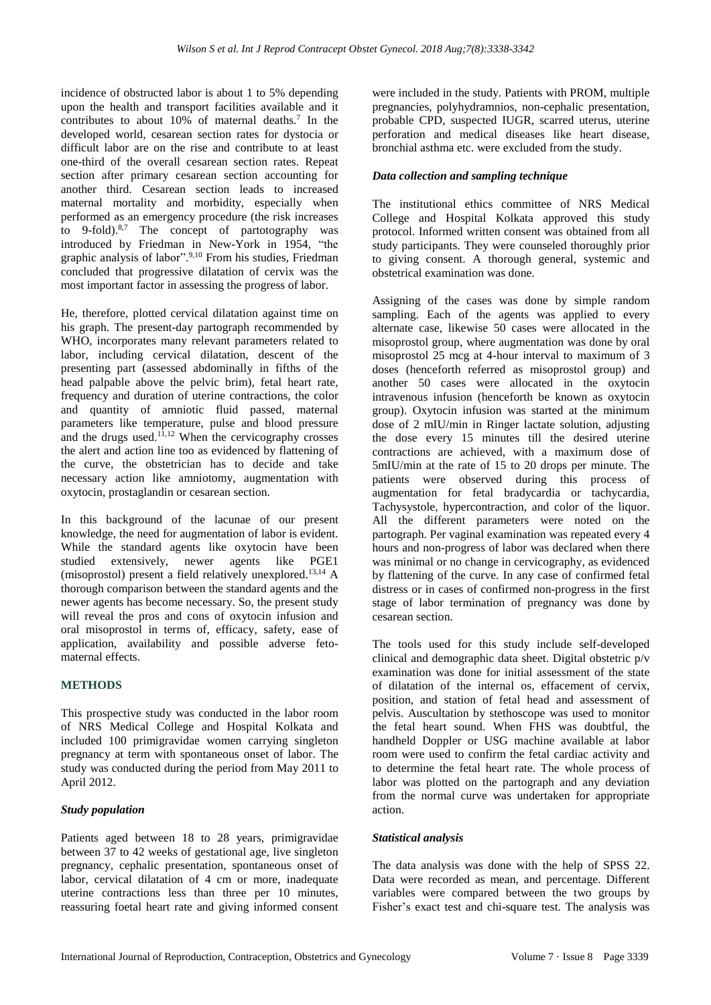incidence of obstructed labor is about 1 to 5% depending upon the health and transport facilities available and it contributes to about 10% of maternal deaths.<sup>7</sup> In the developed world, cesarean section rates for dystocia or difficult labor are on the rise and contribute to at least one-third of the overall cesarean section rates. Repeat section after primary cesarean section accounting for another third. Cesarean section leads to increased maternal mortality and morbidity, especially when performed as an emergency procedure (the risk increases to 9-fold). $8,7$  The concept of partotography was introduced by Friedman in New-York in 1954, "the graphic analysis of labor".9,10 From his studies, Friedman concluded that progressive dilatation of cervix was the most important factor in assessing the progress of labor.

He, therefore, plotted cervical dilatation against time on his graph. The present-day partograph recommended by WHO, incorporates many relevant parameters related to labor, including cervical dilatation, descent of the presenting part (assessed abdominally in fifths of the head palpable above the pelvic brim), fetal heart rate, frequency and duration of uterine contractions, the color and quantity of amniotic fluid passed, maternal parameters like temperature, pulse and blood pressure and the drugs used. $11,12$  When the cervicography crosses the alert and action line too as evidenced by flattening of the curve, the obstetrician has to decide and take necessary action like amniotomy, augmentation with oxytocin, prostaglandin or cesarean section.

In this background of the lacunae of our present knowledge, the need for augmentation of labor is evident. While the standard agents like oxytocin have been studied extensively, newer agents like PGE1 (misoprostol) present a field relatively unexplored.13,14 A thorough comparison between the standard agents and the newer agents has become necessary. So, the present study will reveal the pros and cons of oxytocin infusion and oral misoprostol in terms of, efficacy, safety, ease of application, availability and possible adverse fetomaternal effects.

## **METHODS**

This prospective study was conducted in the labor room of NRS Medical College and Hospital Kolkata and included 100 primigravidae women carrying singleton pregnancy at term with spontaneous onset of labor. The study was conducted during the period from May 2011 to April 2012.

#### *Study population*

Patients aged between 18 to 28 years, primigravidae between 37 to 42 weeks of gestational age, live singleton pregnancy, cephalic presentation, spontaneous onset of labor, cervical dilatation of 4 cm or more, inadequate uterine contractions less than three per 10 minutes, reassuring foetal heart rate and giving informed consent were included in the study. Patients with PROM, multiple pregnancies, polyhydramnios, non-cephalic presentation, probable CPD, suspected IUGR, scarred uterus, uterine perforation and medical diseases like heart disease, bronchial asthma etc. were excluded from the study.

### *Data collection and sampling technique*

The institutional ethics committee of NRS Medical College and Hospital Kolkata approved this study protocol. Informed written consent was obtained from all study participants. They were counseled thoroughly prior to giving consent. A thorough general, systemic and obstetrical examination was done.

Assigning of the cases was done by simple random sampling. Each of the agents was applied to every alternate case, likewise 50 cases were allocated in the misoprostol group, where augmentation was done by oral misoprostol 25 mcg at 4-hour interval to maximum of 3 doses (henceforth referred as misoprostol group) and another 50 cases were allocated in the oxytocin intravenous infusion (henceforth be known as oxytocin group). Oxytocin infusion was started at the minimum dose of 2 mIU/min in Ringer lactate solution, adjusting the dose every 15 minutes till the desired uterine contractions are achieved, with a maximum dose of 5mIU/min at the rate of 15 to 20 drops per minute. The patients were observed during this process of augmentation for fetal bradycardia or tachycardia, Tachysystole, hypercontraction, and color of the liquor. All the different parameters were noted on the partograph. Per vaginal examination was repeated every 4 hours and non-progress of labor was declared when there was minimal or no change in cervicography, as evidenced by flattening of the curve. In any case of confirmed fetal distress or in cases of confirmed non-progress in the first stage of labor termination of pregnancy was done by cesarean section.

The tools used for this study include self-developed clinical and demographic data sheet. Digital obstetric p/v examination was done for initial assessment of the state of dilatation of the internal os, effacement of cervix, position, and station of fetal head and assessment of pelvis. Auscultation by stethoscope was used to monitor the fetal heart sound. When FHS was doubtful, the handheld Doppler or USG machine available at labor room were used to confirm the fetal cardiac activity and to determine the fetal heart rate. The whole process of labor was plotted on the partograph and any deviation from the normal curve was undertaken for appropriate action.

#### *Statistical analysis*

The data analysis was done with the help of SPSS 22. Data were recorded as mean, and percentage. Different variables were compared between the two groups by Fisher's exact test and chi-square test. The analysis was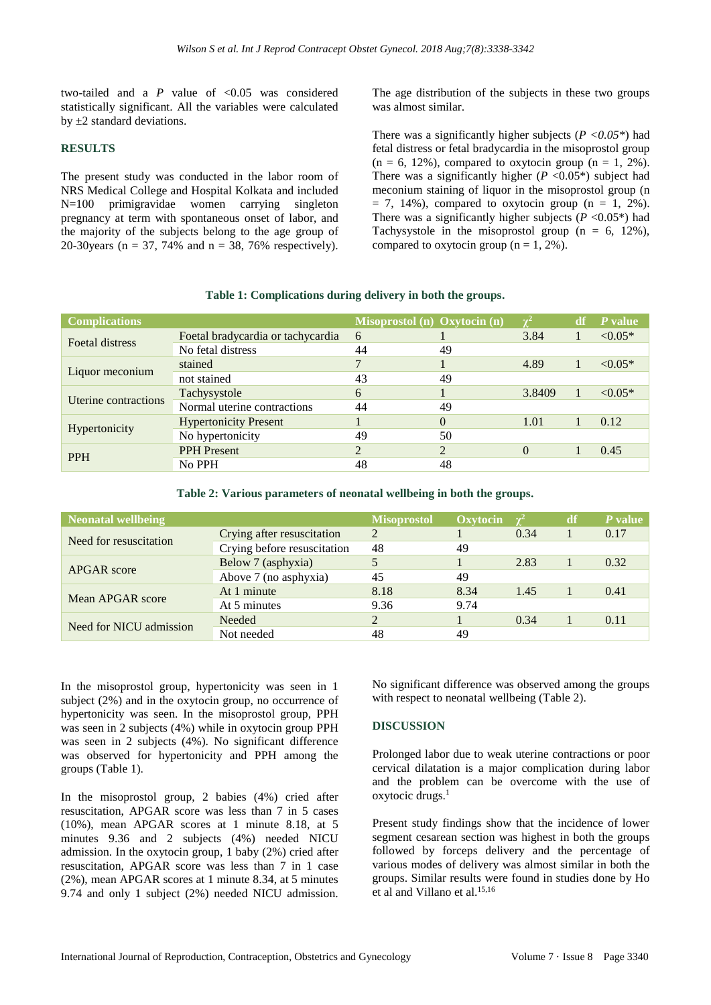two-tailed and a  $P$  value of  $\leq 0.05$  was considered statistically significant. All the variables were calculated by  $\pm 2$  standard deviations.

#### **RESULTS**

The present study was conducted in the labor room of NRS Medical College and Hospital Kolkata and included N=100 primigravidae women carrying singleton pregnancy at term with spontaneous onset of labor, and the majority of the subjects belong to the age group of 20-30 years ( $n = 37, 74\%$  and  $n = 38, 76\%$  respectively). The age distribution of the subjects in these two groups was almost similar.

There was a significantly higher subjects (*P <0.05\**) had fetal distress or fetal bradycardia in the misoprostol group  $(n = 6, 12\%)$ , compared to oxytocin group  $(n = 1, 2\%)$ . There was a significantly higher  $(P \le 0.05^*)$  subject had meconium staining of liquor in the misoprostol group (n  $= 7, 14\%$ ), compared to oxytocin group (n  $= 1, 2\%$ ). There was a significantly higher subjects  $(P<0.05^*)$  had Tachysystole in the misoprostol group  $(n = 6, 12\%)$ , compared to oxytocin group ( $n = 1, 2\%$ ).

### **Table 1: Complications during delivery in both the groups.**

| <b>Complications</b> |                                   | Misoprostol (n) Oxytocin (n) |                | $\gamma^2$ | df | P value      |
|----------------------|-----------------------------------|------------------------------|----------------|------------|----|--------------|
| Foetal distress      | Foetal bradycardia or tachycardia | 6                            |                | 3.84       |    | $< 0.05*$    |
|                      | No fetal distress                 | 44                           | 49             |            |    |              |
| Liquor meconium      | stained                           |                              |                | 4.89       |    | $< 0.05*$    |
|                      | not stained                       | 43                           | 49             |            |    |              |
| Uterine contractions | Tachysystole                      | 6                            |                | 3.8409     |    | $\leq 0.05*$ |
|                      | Normal uterine contractions       | 44                           | 49             |            |    |              |
| Hypertonicity        | <b>Hypertonicity Present</b>      |                              | $\Omega$       | 1.01       |    | 0.12         |
|                      | No hypertonicity                  | 49                           | 50             |            |    |              |
| <b>PPH</b>           | <b>PPH</b> Present                | $\mathcal{D}$                | $\overline{2}$ |            |    | 0.45         |
|                      | No PPH                            | 48                           | 48             |            |    |              |

**Table 2: Various parameters of neonatal wellbeing in both the groups.**

| Neonatal wellbeing      |                             | <b>Misoprostol</b> | <b>Oxytocin</b> | $\gamma^2$ | df | P value |
|-------------------------|-----------------------------|--------------------|-----------------|------------|----|---------|
| Need for resuscitation  | Crying after resuscitation  | 2                  |                 | 0.34       |    | 0.17    |
|                         | Crying before resuscitation | 48                 | 49              |            |    |         |
| <b>APGAR</b> score      | Below 7 (asphyxia)          |                    |                 | 2.83       |    | 0.32    |
|                         | Above 7 (no asphyxia)       | 45                 | 49              |            |    |         |
| Mean APGAR score        | At 1 minute                 | 8.18               | 8.34            | 1.45       |    | 0.41    |
|                         | At 5 minutes                | 9.36               | 9.74            |            |    |         |
| Need for NICU admission | Needed                      |                    |                 | 0.34       |    | 0.11    |
|                         | Not needed                  | 48                 | 49              |            |    |         |

In the misoprostol group, hypertonicity was seen in 1 subject (2%) and in the oxytocin group, no occurrence of hypertonicity was seen. In the misoprostol group, PPH was seen in 2 subjects (4%) while in oxytocin group PPH was seen in 2 subjects (4%). No significant difference was observed for hypertonicity and PPH among the groups (Table 1).

In the misoprostol group, 2 babies (4%) cried after resuscitation, APGAR score was less than 7 in 5 cases (10%), mean APGAR scores at 1 minute 8.18, at 5 minutes 9.36 and 2 subjects (4%) needed NICU admission. In the oxytocin group, 1 baby (2%) cried after resuscitation, APGAR score was less than 7 in 1 case (2%), mean APGAR scores at 1 minute 8.34, at 5 minutes 9.74 and only 1 subject (2%) needed NICU admission. No significant difference was observed among the groups with respect to neonatal wellbeing (Table 2).

#### **DISCUSSION**

Prolonged labor due to weak uterine contractions or poor cervical dilatation is a major complication during labor and the problem can be overcome with the use of oxytocic drugs.<sup>1</sup>

Present study findings show that the incidence of lower segment cesarean section was highest in both the groups followed by forceps delivery and the percentage of various modes of delivery was almost similar in both the groups. Similar results were found in studies done by Ho et al and Villano et al.<sup>15,16</sup>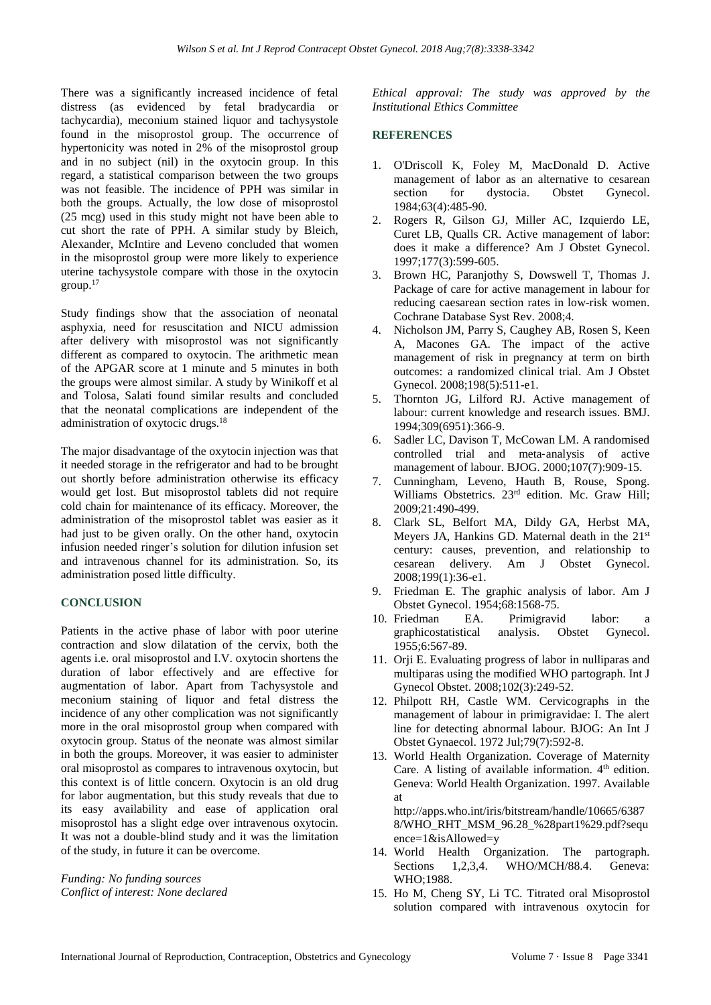There was a significantly increased incidence of fetal distress (as evidenced by fetal bradycardia or tachycardia), meconium stained liquor and tachysystole found in the misoprostol group. The occurrence of hypertonicity was noted in 2% of the misoprostol group and in no subject (nil) in the oxytocin group. In this regard, a statistical comparison between the two groups was not feasible. The incidence of PPH was similar in both the groups. Actually, the low dose of misoprostol (25 mcg) used in this study might not have been able to cut short the rate of PPH. A similar study by Bleich, Alexander, McIntire and Leveno concluded that women in the misoprostol group were more likely to experience uterine tachysystole compare with those in the oxytocin group.<sup>17</sup>

Study findings show that the association of neonatal asphyxia, need for resuscitation and NICU admission after delivery with misoprostol was not significantly different as compared to oxytocin. The arithmetic mean of the APGAR score at 1 minute and 5 minutes in both the groups were almost similar. A study by Winikoff et al and Tolosa, Salati found similar results and concluded that the neonatal complications are independent of the administration of oxytocic drugs.<sup>18</sup>

The major disadvantage of the oxytocin injection was that it needed storage in the refrigerator and had to be brought out shortly before administration otherwise its efficacy would get lost. But misoprostol tablets did not require cold chain for maintenance of its efficacy. Moreover, the administration of the misoprostol tablet was easier as it had just to be given orally. On the other hand, oxytocin infusion needed ringer's solution for dilution infusion set and intravenous channel for its administration. So, its administration posed little difficulty.

#### **CONCLUSION**

Patients in the active phase of labor with poor uterine contraction and slow dilatation of the cervix, both the agents i.e. oral misoprostol and I.V. oxytocin shortens the duration of labor effectively and are effective for augmentation of labor. Apart from Tachysystole and meconium staining of liquor and fetal distress the incidence of any other complication was not significantly more in the oral misoprostol group when compared with oxytocin group. Status of the neonate was almost similar in both the groups. Moreover, it was easier to administer oral misoprostol as compares to intravenous oxytocin, but this context is of little concern. Oxytocin is an old drug for labor augmentation, but this study reveals that due to its easy availability and ease of application oral misoprostol has a slight edge over intravenous oxytocin. It was not a double-blind study and it was the limitation of the study, in future it can be overcome.

*Funding: No funding sources Conflict of interest: None declared* *Ethical approval: The study was approved by the Institutional Ethics Committee*

#### **REFERENCES**

- 1. O'Driscoll K, Foley M, MacDonald D. Active management of labor as an alternative to cesarean section for dystocia. Obstet Gynecol. 1984;63(4):485-90.
- 2. Rogers R, Gilson GJ, Miller AC, Izquierdo LE, Curet LB, Qualls CR. Active management of labor: does it make a difference? Am J Obstet Gynecol. 1997;177(3):599-605.
- 3. Brown HC, Paranjothy S, Dowswell T, Thomas J. Package of care for active management in labour for reducing caesarean section rates in low-risk women. Cochrane Database Syst Rev. 2008;4.
- 4. Nicholson JM, Parry S, Caughey AB, Rosen S, Keen A, Macones GA. The impact of the active management of risk in pregnancy at term on birth outcomes: a randomized clinical trial. Am J Obstet Gynecol. 2008;198(5):511-e1.
- 5. Thornton JG, Lilford RJ. Active management of labour: current knowledge and research issues. BMJ. 1994;309(6951):366-9.
- 6. Sadler LC, Davison T, McCowan LM. A randomised controlled trial and meta‐analysis of active management of labour. BJOG. 2000;107(7):909-15.
- 7. Cunningham, Leveno, Hauth B, Rouse, Spong. Williams Obstetrics. 23<sup>rd</sup> edition. Mc. Graw Hill; 2009;21:490-499.
- 8. Clark SL, Belfort MA, Dildy GA, Herbst MA, Meyers JA, Hankins GD. Maternal death in the 21<sup>st</sup> century: causes, prevention, and relationship to cesarean delivery. Am J Obstet Gynecol. 2008;199(1):36-e1.
- 9. Friedman E. The graphic analysis of labor. Am J Obstet Gynecol. 1954;68:1568-75.
- 10. Friedman EA. Primigravid labor: a graphicostatistical analysis. Obstet Gynecol. 1955;6:567-89.
- 11. Orji E. Evaluating progress of labor in nulliparas and multiparas using the modified WHO partograph. Int J Gynecol Obstet. 2008;102(3):249-52.
- 12. Philpott RH, Castle WM. Cervicographs in the management of labour in primigravidae: I. The alert line for detecting abnormal labour. BJOG: An Int J Obstet Gynaecol. 1972 Jul;79(7):592-8.
- 13. World Health Organization. Coverage of Maternity Care. A listing of available information. 4<sup>th</sup> edition. Geneva: World Health Organization. 1997. Available at

http://apps.who.int/iris/bitstream/handle/10665/6387 8/WHO\_RHT\_MSM\_96.28\_%28part1%29.pdf?sequ ence=1&isAllowed=y

- 14. World Health Organization. The partograph. Sections 1,2,3,4. WHO/MCH/88.4. Geneva: WHO;1988.
- 15. Ho M, Cheng SY, Li TC. Titrated oral Misoprostol solution compared with intravenous oxytocin for